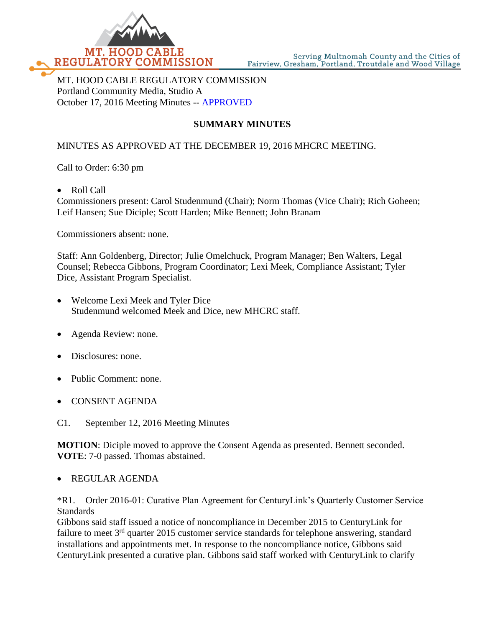

MT. HOOD CABLE REGULATORY COMMISSION Portland Community Media, Studio A October 17, 2016 Meeting Minutes -- APPROVED

## **SUMMARY MINUTES**

## MINUTES AS APPROVED AT THE DECEMBER 19, 2016 MHCRC MEETING.

Call to Order: 6:30 pm

Roll Call

Commissioners present: Carol Studenmund (Chair); Norm Thomas (Vice Chair); Rich Goheen; Leif Hansen; Sue Diciple; Scott Harden; Mike Bennett; John Branam

Commissioners absent: none.

Staff: Ann Goldenberg, Director; Julie Omelchuck, Program Manager; Ben Walters, Legal Counsel; Rebecca Gibbons, Program Coordinator; Lexi Meek, Compliance Assistant; Tyler Dice, Assistant Program Specialist.

- Welcome Lexi Meek and Tyler Dice Studenmund welcomed Meek and Dice, new MHCRC staff.
- Agenda Review: none.
- Disclosures: none.
- Public Comment: none.
- CONSENT AGENDA
- C1. September 12, 2016 Meeting Minutes

**MOTION**: Diciple moved to approve the Consent Agenda as presented. Bennett seconded. **VOTE**: 7-0 passed. Thomas abstained.

## REGULAR AGENDA

\*R1. Order 2016-01: Curative Plan Agreement for CenturyLink's Quarterly Customer Service **Standards** 

Gibbons said staff issued a notice of noncompliance in December 2015 to CenturyLink for failure to meet 3<sup>rd</sup> quarter 2015 customer service standards for telephone answering, standard installations and appointments met. In response to the noncompliance notice, Gibbons said CenturyLink presented a curative plan. Gibbons said staff worked with CenturyLink to clarify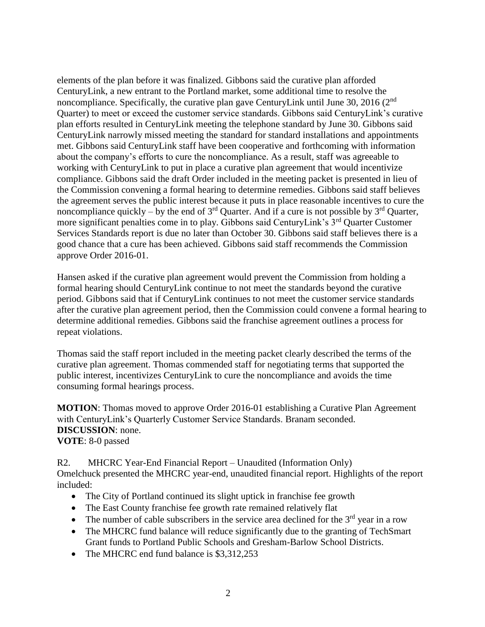elements of the plan before it was finalized. Gibbons said the curative plan afforded CenturyLink, a new entrant to the Portland market, some additional time to resolve the noncompliance. Specifically, the curative plan gave CenturyLink until June 30, 2016 (2<sup>nd</sup>) Quarter) to meet or exceed the customer service standards. Gibbons said CenturyLink's curative plan efforts resulted in CenturyLink meeting the telephone standard by June 30. Gibbons said CenturyLink narrowly missed meeting the standard for standard installations and appointments met. Gibbons said CenturyLink staff have been cooperative and forthcoming with information about the company's efforts to cure the noncompliance. As a result, staff was agreeable to working with CenturyLink to put in place a curative plan agreement that would incentivize compliance. Gibbons said the draft Order included in the meeting packet is presented in lieu of the Commission convening a formal hearing to determine remedies. Gibbons said staff believes the agreement serves the public interest because it puts in place reasonable incentives to cure the noncompliance quickly – by the end of  $3<sup>rd</sup>$  Quarter. And if a cure is not possible by  $3<sup>rd</sup>$  Quarter, more significant penalties come in to play. Gibbons said CenturyLink's 3<sup>rd</sup> Quarter Customer Services Standards report is due no later than October 30. Gibbons said staff believes there is a good chance that a cure has been achieved. Gibbons said staff recommends the Commission approve Order 2016-01.

Hansen asked if the curative plan agreement would prevent the Commission from holding a formal hearing should CenturyLink continue to not meet the standards beyond the curative period. Gibbons said that if CenturyLink continues to not meet the customer service standards after the curative plan agreement period, then the Commission could convene a formal hearing to determine additional remedies. Gibbons said the franchise agreement outlines a process for repeat violations.

Thomas said the staff report included in the meeting packet clearly described the terms of the curative plan agreement. Thomas commended staff for negotiating terms that supported the public interest, incentivizes CenturyLink to cure the noncompliance and avoids the time consuming formal hearings process.

**MOTION**: Thomas moved to approve Order 2016-01 establishing a Curative Plan Agreement with CenturyLink's Quarterly Customer Service Standards. Branam seconded. **DISCUSSION**: none. **VOTE**: 8-0 passed

R2. MHCRC Year-End Financial Report – Unaudited (Information Only) Omelchuck presented the MHCRC year-end, unaudited financial report. Highlights of the report included:

- The City of Portland continued its slight uptick in franchise fee growth
- The East County franchise fee growth rate remained relatively flat
- The number of cable subscribers in the service area declined for the  $3<sup>rd</sup>$  year in a row
- The MHCRC fund balance will reduce significantly due to the granting of TechSmart Grant funds to Portland Public Schools and Gresham-Barlow School Districts.
- The MHCRC end fund balance is \$3,312,253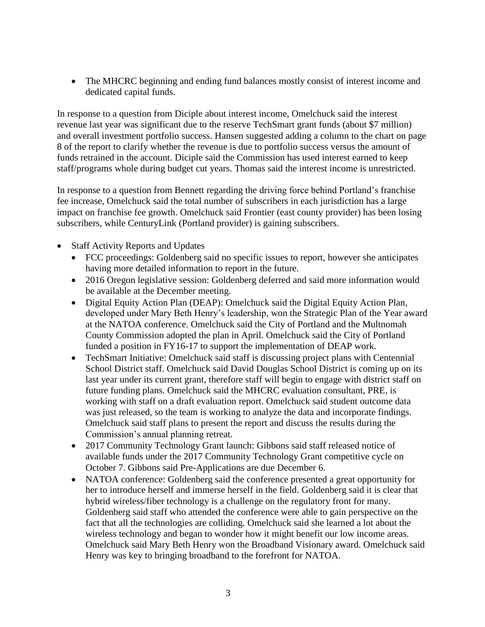• The MHCRC beginning and ending fund balances mostly consist of interest income and dedicated capital funds.

In response to a question from Diciple about interest income, Omelchuck said the interest revenue last year was significant due to the reserve TechSmart grant funds (about \$7 million) and overall investment portfolio success. Hansen suggested adding a column to the chart on page 8 of the report to clarify whether the revenue is due to portfolio success versus the amount of funds retrained in the account. Diciple said the Commission has used interest earned to keep staff/programs whole during budget cut years. Thomas said the interest income is unrestricted.

In response to a question from Bennett regarding the driving force behind Portland's franchise fee increase, Omelchuck said the total number of subscribers in each jurisdiction has a large impact on franchise fee growth. Omelchuck said Frontier (east county provider) has been losing subscribers, while CenturyLink (Portland provider) is gaining subscribers.

- Staff Activity Reports and Updates
	- FCC proceedings: Goldenberg said no specific issues to report, however she anticipates having more detailed information to report in the future.
	- 2016 Oregon legislative session: Goldenberg deferred and said more information would be available at the December meeting.
	- Digital Equity Action Plan (DEAP): Omelchuck said the Digital Equity Action Plan, developed under Mary Beth Henry's leadership, won the Strategic Plan of the Year award at the NATOA conference. Omelchuck said the City of Portland and the Multnomah County Commission adopted the plan in April. Omelchuck said the City of Portland funded a position in FY16-17 to support the implementation of DEAP work.
	- TechSmart Initiative: Omelchuck said staff is discussing project plans with Centennial School District staff. Omelchuck said David Douglas School District is coming up on its last year under its current grant, therefore staff will begin to engage with district staff on future funding plans. Omelchuck said the MHCRC evaluation consultant, PRE, is working with staff on a draft evaluation report. Omelchuck said student outcome data was just released, so the team is working to analyze the data and incorporate findings. Omelchuck said staff plans to present the report and discuss the results during the Commission's annual planning retreat.
	- 2017 Community Technology Grant launch: Gibbons said staff released notice of available funds under the 2017 Community Technology Grant competitive cycle on October 7. Gibbons said Pre-Applications are due December 6.
	- NATOA conference: Goldenberg said the conference presented a great opportunity for her to introduce herself and immerse herself in the field. Goldenberg said it is clear that hybrid wireless/fiber technology is a challenge on the regulatory front for many. Goldenberg said staff who attended the conference were able to gain perspective on the fact that all the technologies are colliding. Omelchuck said she learned a lot about the wireless technology and began to wonder how it might benefit our low income areas. Omelchuck said Mary Beth Henry won the Broadband Visionary award. Omelchuck said Henry was key to bringing broadband to the forefront for NATOA.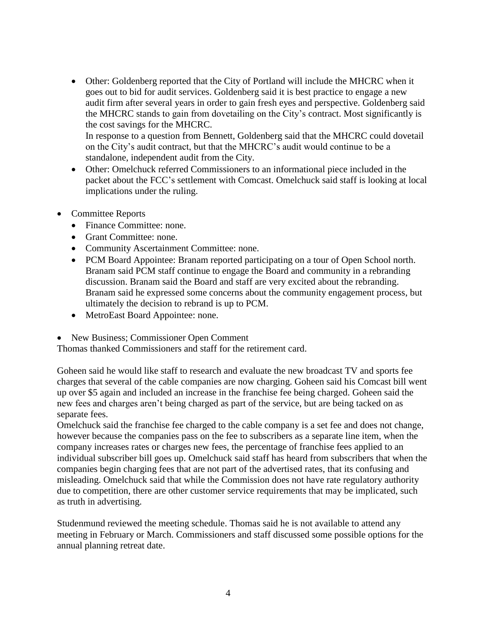Other: Goldenberg reported that the City of Portland will include the MHCRC when it goes out to bid for audit services. Goldenberg said it is best practice to engage a new audit firm after several years in order to gain fresh eyes and perspective. Goldenberg said the MHCRC stands to gain from dovetailing on the City's contract. Most significantly is the cost savings for the MHCRC. In response to a question from Bennett, Goldenberg said that the MHCRC could dovetail

on the City's audit contract, but that the MHCRC's audit would continue to be a standalone, independent audit from the City.

- Other: Omelchuck referred Commissioners to an informational piece included in the packet about the FCC's settlement with Comcast. Omelchuck said staff is looking at local implications under the ruling.
- Committee Reports
	- Finance Committee: none.
	- Grant Committee: none.
	- Community Ascertainment Committee: none.
	- PCM Board Appointee: Branam reported participating on a tour of Open School north. Branam said PCM staff continue to engage the Board and community in a rebranding discussion. Branam said the Board and staff are very excited about the rebranding. Branam said he expressed some concerns about the community engagement process, but ultimately the decision to rebrand is up to PCM.
	- MetroEast Board Appointee: none.
- New Business; Commissioner Open Comment

Thomas thanked Commissioners and staff for the retirement card.

Goheen said he would like staff to research and evaluate the new broadcast TV and sports fee charges that several of the cable companies are now charging. Goheen said his Comcast bill went up over \$5 again and included an increase in the franchise fee being charged. Goheen said the new fees and charges aren't being charged as part of the service, but are being tacked on as separate fees.

Omelchuck said the franchise fee charged to the cable company is a set fee and does not change, however because the companies pass on the fee to subscribers as a separate line item, when the company increases rates or charges new fees, the percentage of franchise fees applied to an individual subscriber bill goes up. Omelchuck said staff has heard from subscribers that when the companies begin charging fees that are not part of the advertised rates, that its confusing and misleading. Omelchuck said that while the Commission does not have rate regulatory authority due to competition, there are other customer service requirements that may be implicated, such as truth in advertising.

Studenmund reviewed the meeting schedule. Thomas said he is not available to attend any meeting in February or March. Commissioners and staff discussed some possible options for the annual planning retreat date.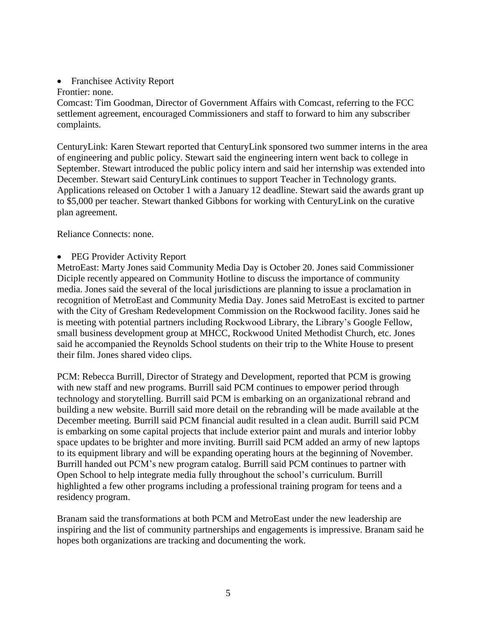- Franchisee Activity Report
- Frontier: none.

Comcast: Tim Goodman, Director of Government Affairs with Comcast, referring to the FCC settlement agreement, encouraged Commissioners and staff to forward to him any subscriber complaints.

CenturyLink: Karen Stewart reported that CenturyLink sponsored two summer interns in the area of engineering and public policy. Stewart said the engineering intern went back to college in September. Stewart introduced the public policy intern and said her internship was extended into December. Stewart said CenturyLink continues to support Teacher in Technology grants. Applications released on October 1 with a January 12 deadline. Stewart said the awards grant up to \$5,000 per teacher. Stewart thanked Gibbons for working with CenturyLink on the curative plan agreement.

Reliance Connects: none.

PEG Provider Activity Report

MetroEast: Marty Jones said Community Media Day is October 20. Jones said Commissioner Diciple recently appeared on Community Hotline to discuss the importance of community media. Jones said the several of the local jurisdictions are planning to issue a proclamation in recognition of MetroEast and Community Media Day. Jones said MetroEast is excited to partner with the City of Gresham Redevelopment Commission on the Rockwood facility. Jones said he is meeting with potential partners including Rockwood Library, the Library's Google Fellow, small business development group at MHCC, Rockwood United Methodist Church, etc. Jones said he accompanied the Reynolds School students on their trip to the White House to present their film. Jones shared video clips.

PCM: Rebecca Burrill, Director of Strategy and Development, reported that PCM is growing with new staff and new programs. Burrill said PCM continues to empower period through technology and storytelling. Burrill said PCM is embarking on an organizational rebrand and building a new website. Burrill said more detail on the rebranding will be made available at the December meeting. Burrill said PCM financial audit resulted in a clean audit. Burrill said PCM is embarking on some capital projects that include exterior paint and murals and interior lobby space updates to be brighter and more inviting. Burrill said PCM added an army of new laptops to its equipment library and will be expanding operating hours at the beginning of November. Burrill handed out PCM's new program catalog. Burrill said PCM continues to partner with Open School to help integrate media fully throughout the school's curriculum. Burrill highlighted a few other programs including a professional training program for teens and a residency program.

Branam said the transformations at both PCM and MetroEast under the new leadership are inspiring and the list of community partnerships and engagements is impressive. Branam said he hopes both organizations are tracking and documenting the work.